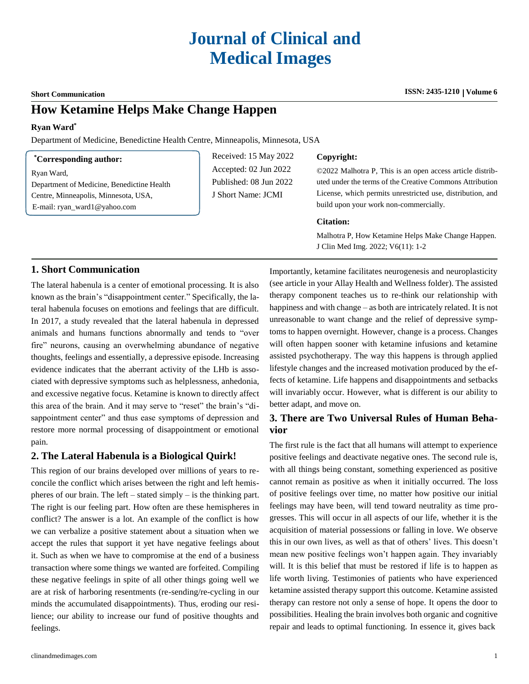### $Short$  **Communication**

# **How Ketamine Helps Make Change Happen**

## **Ryan Ward\***

Department of Medicine, Benedictine Health Centre, Minneapolis, Minnesota, USA

#### **\*Corresponding author:**

Ryan Ward,

Department of Medicine, Benedictine Health Centre, Minneapolis, Minnesota, USA, E-mail: [ryan\\_ward1@yahoo.com](mailto:ryan_ward1@yahoo.com)

Received: 15 May 2022 Accepted: 02 Jun 2022 Published: 08 Jun 2022 J Short Name: JCMI

#### **Copyright:**

©2022 Malhotra P, This is an open access article distributed under the terms of the Creative Commons Attribution License, which permits unrestricted use, distribution, and build upon your work non-commercially.

#### **Citation:**

Malhotra P, How Ketamine Helps Make Change Happen. J Clin Med Img. 2022; V6(11): 1-2

# **1. Short Communication**

The lateral habenula is a center of emotional processing. It is also known as the brain's "disappointment center." Specifically, the lateral habenula focuses on emotions and feelings that are difficult. In 2017, a study revealed that the lateral habenula in depressed animals and humans functions abnormally and tends to "over fire" neurons, causing an overwhelming abundance of negative thoughts, feelings and essentially, a depressive episode. Increasing evidence indicates that the aberrant activity of the LHb is associated with depressive symptoms such as helplessness, anhedonia, and excessive negative focus. Ketamine is known to directly affect this area of the brain. And it may serve to "reset" the brain's "disappointment center" and thus ease symptoms of depression and restore more normal processing of disappointment or emotional pain.

## **2. The Lateral Habenula is a Biological Quirk!**

This region of our brains developed over millions of years to reconcile the conflict which arises between the right and left hemispheres of our brain. The left – stated simply – is the thinking part. The right is our feeling part. How often are these hemispheres in conflict? The answer is a lot. An example of the conflict is how we can verbalize a positive statement about a situation when we accept the rules that support it yet have negative feelings about it. Such as when we have to compromise at the end of a business transaction where some things we wanted are forfeited. Compiling these negative feelings in spite of all other things going well we are at risk of harboring resentments (re-sending/re-cycling in our minds the accumulated disappointments). Thus, eroding our resilience; our ability to increase our fund of positive thoughts and feelings.

clinandmedimages.com 1

Importantly, ketamine facilitates neurogenesis and neuroplasticity (see article in your Allay Health and Wellness folder). The assisted therapy component teaches us to re-think our relationship with happiness and with change – as both are intricately related. It is not unreasonable to want change and the relief of depressive symptoms to happen overnight. However, change is a process. Changes will often happen sooner with ketamine infusions and ketamine assisted psychotherapy. The way this happens is through applied lifestyle changes and the increased motivation produced by the effects of ketamine. Life happens and disappointments and setbacks will invariably occur. However, what is different is our ability to better adapt, and move on.

# **3. There are Two Universal Rules of Human Behavior**

The first rule is the fact that all humans will attempt to experience positive feelings and deactivate negative ones. The second rule is, with all things being constant, something experienced as positive cannot remain as positive as when it initially occurred. The loss of positive feelings over time, no matter how positive our initial feelings may have been, will tend toward neutrality as time progresses. This will occur in all aspects of our life, whether it is the acquisition of material possessions or falling in love. We observe this in our own lives, as well as that of others' lives. This doesn't mean new positive feelings won't happen again. They invariably will. It is this belief that must be restored if life is to happen as life worth living. Testimonies of patients who have experienced ketamine assisted therapy support this outcome. Ketamine assisted therapy can restore not only a sense of hope. It opens the door to possibilities. Healing the brain involves both organic and cognitive repair and leads to optimal functioning. In essence it, gives back